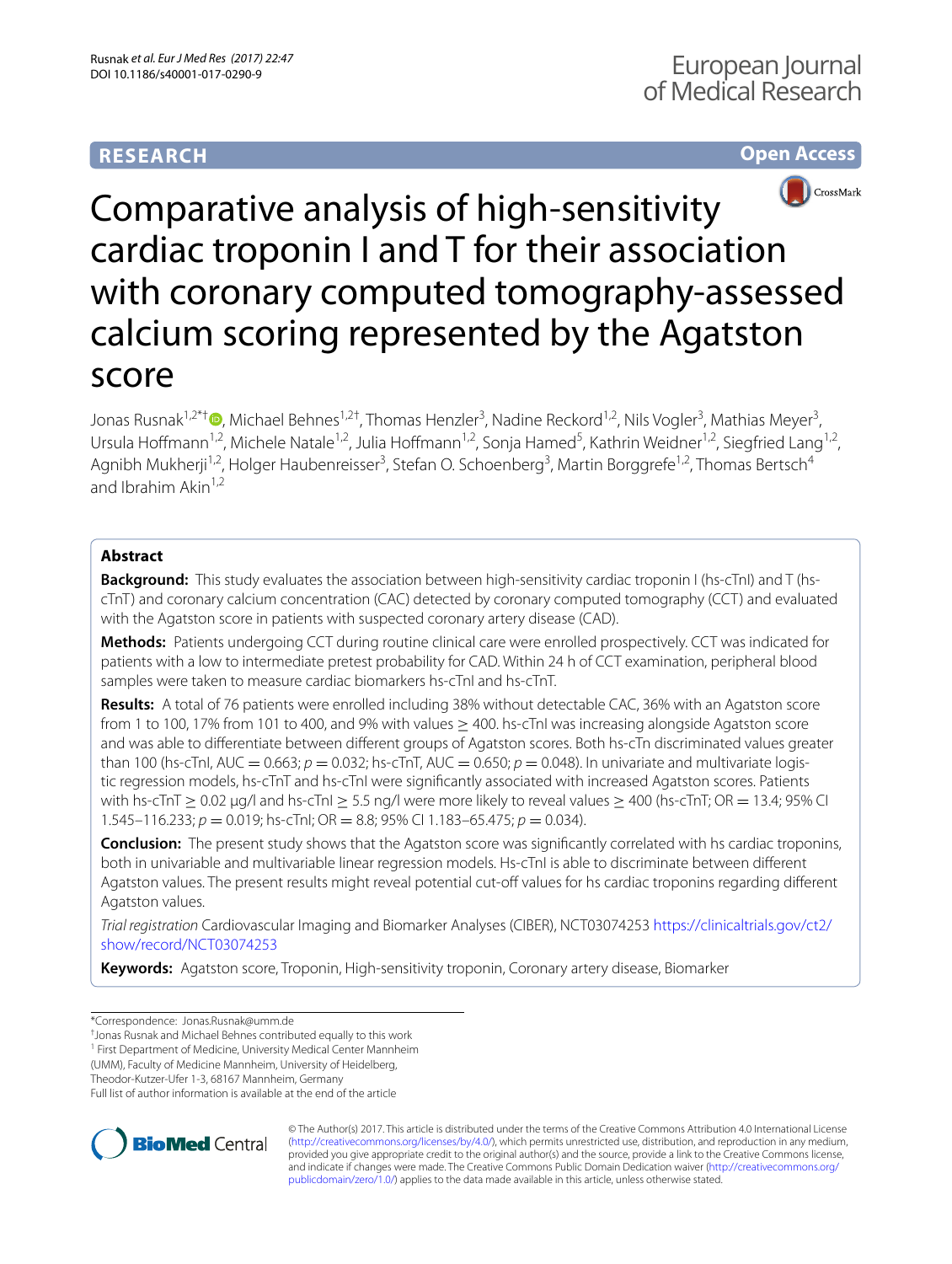# **RESEARCH**

# **Open Access**



Comparative analysis of high-sensitivity cardiac troponin I and T for their association with coronary computed tomography-assessed calcium scoring represented by the Agatston score

Jonas Rusnak<sup>1[,](http://orcid.org/0000-0002-6617-2732)2\*†</sup>®, Michael Behnes<sup>1,2†</sup>, Thomas Henzler<sup>3</sup>, Nadine Reckord<sup>1,2</sup>, Nils Vogler<sup>3</sup>, Mathias Meyer<sup>3</sup>, Ursula Hoffmann<sup>1,2</sup>, Michele Natale<sup>1,2</sup>, Julia Hoffmann<sup>1,2</sup>, Sonja Hamed<sup>5</sup>, Kathrin Weidner<sup>1,2</sup>, Siegfried Lang<sup>1,2</sup>, Agnibh Mukherji<sup>1,2</sup>, Holger Haubenreisser<sup>3</sup>, Stefan O. Schoenberg<sup>3</sup>, Martin Borggrefe<sup>1,2</sup>, Thomas Bertsch<sup>4</sup> and Ibrahim Akin $1,2$ 

# **Abstract**

**Background:** This study evaluates the association between high-sensitivity cardiac troponin I (hs-cTnI) and T (hscTnT) and coronary calcium concentration (CAC) detected by coronary computed tomography (CCT) and evaluated with the Agatston score in patients with suspected coronary artery disease (CAD).

**Methods:** Patients undergoing CCT during routine clinical care were enrolled prospectively. CCT was indicated for patients with a low to intermediate pretest probability for CAD. Within 24 h of CCT examination, peripheral blood samples were taken to measure cardiac biomarkers hs-cTnI and hs-cTnT.

**Results:** A total of 76 patients were enrolled including 38% without detectable CAC, 36% with an Agatston score from 1 to 100, 17% from 101 to 400, and 9% with values ≥ 400. hs-cTnI was increasing alongside Agatston score and was able to diferentiate between diferent groups of Agatston scores. Both hs-cTn discriminated values greater than 100 (hs-cTnI, AUC = 0.663; *p* = 0.032; hs-cTnT, AUC = 0.650; *p* = 0.048). In univariate and multivariate logistic regression models, hs-cTnT and hs-cTnI were signifcantly associated with increased Agatston scores. Patients with hs-cTnT  $\geq$  0.02 µg/l and hs-cTnl  $\geq$  5.5 ng/l were more likely to reveal values  $\geq$  400 (hs-cTnT; OR = 13.4; 95% CI 1.545–116.233; *p* = 0.019; hs-cTnI; OR = 8.8; 95% CI 1.183–65.475; *p* = 0.034).

**Conclusion:** The present study shows that the Agatston score was signifcantly correlated with hs cardiac troponins, both in univariable and multivariable linear regression models. Hs-cTnI is able to discriminate between diferent Agatston values. The present results might reveal potential cut-off values for hs cardiac troponins regarding different Agatston values.

*Trial registration* Cardiovascular Imaging and Biomarker Analyses (CIBER), NCT03074253 [https://clinicaltrials.gov/ct2/](https://clinicaltrials.gov/ct2/show/record/NCT03074253) [show/record/NCT03074253](https://clinicaltrials.gov/ct2/show/record/NCT03074253)

**Keywords:** Agatston score, Troponin, High-sensitivity troponin, Coronary artery disease, Biomarker

(UMM), Faculty of Medicine Mannheim, University of Heidelberg, Theodor-Kutzer-Ufer 1-3, 68167 Mannheim, Germany

Full list of author information is available at the end of the article

**oMed** Central

© The Author(s) 2017. This article is distributed under the terms of the Creative Commons Attribution 4.0 International License [\(http://creativecommons.org/licenses/by/4.0/\)](http://creativecommons.org/licenses/by/4.0/), which permits unrestricted use, distribution, and reproduction in any medium, provided you give appropriate credit to the original author(s) and the source, provide a link to the Creative Commons license, and indicate if changes were made. The Creative Commons Public Domain Dedication waiver ([http://creativecommons.org/](http://creativecommons.org/publicdomain/zero/1.0/) [publicdomain/zero/1.0/](http://creativecommons.org/publicdomain/zero/1.0/)) applies to the data made available in this article, unless otherwise stated.

<sup>\*</sup>Correspondence: Jonas.Rusnak@umm.de

<sup>†</sup> Jonas Rusnak and Michael Behnes contributed equally to this work

<sup>&</sup>lt;sup>1</sup> First Department of Medicine, University Medical Center Mannheim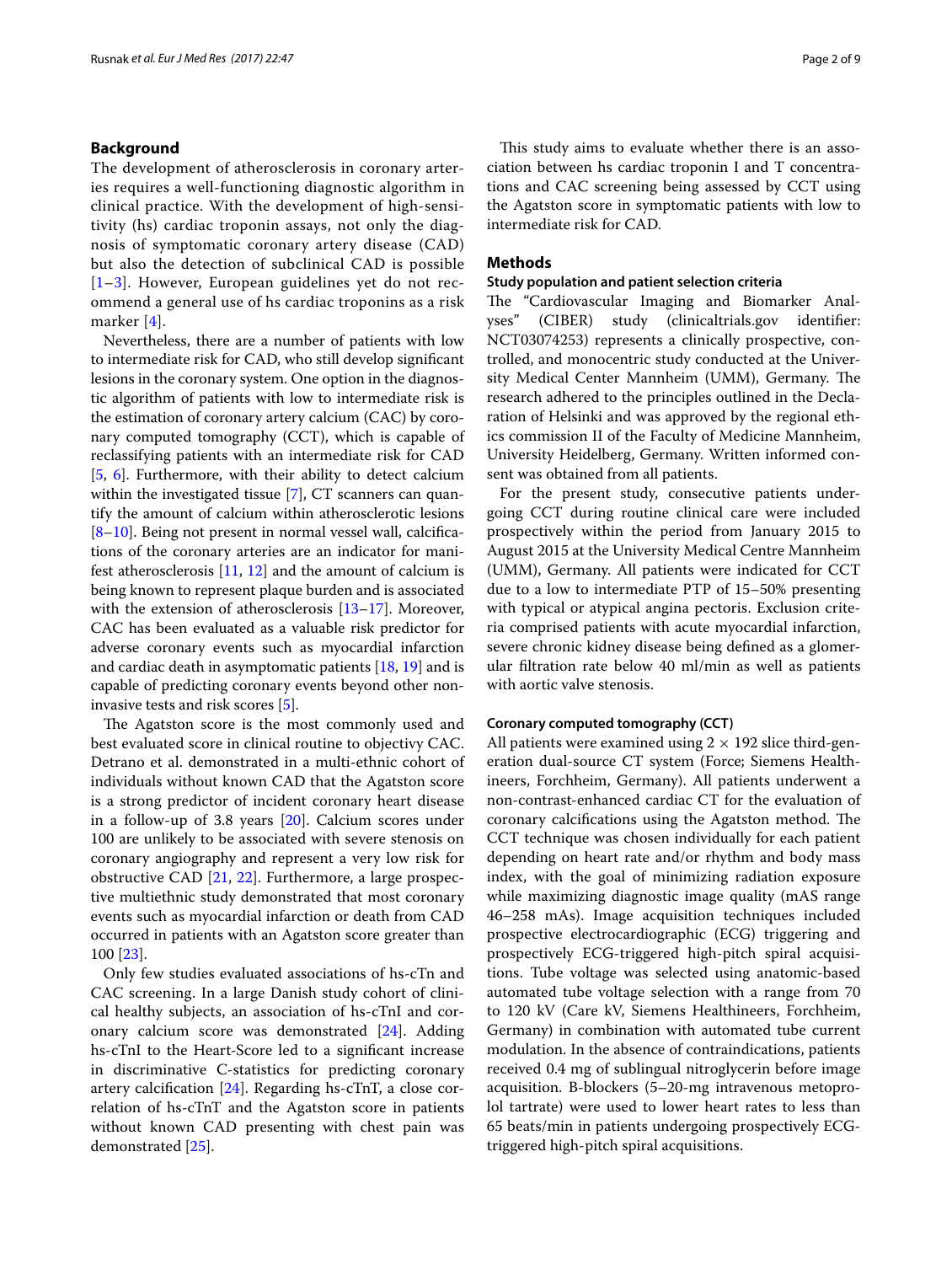# **Background**

The development of atherosclerosis in coronary arteries requires a well-functioning diagnostic algorithm in clinical practice. With the development of high-sensitivity (hs) cardiac troponin assays, not only the diagnosis of symptomatic coronary artery disease (CAD) but also the detection of subclinical CAD is possible [[1](#page-7-0)[–3](#page-7-1)]. However, European guidelines yet do not recommend a general use of hs cardiac troponins as a risk marker [\[4](#page-7-2)].

Nevertheless, there are a number of patients with low to intermediate risk for CAD, who still develop signifcant lesions in the coronary system. One option in the diagnostic algorithm of patients with low to intermediate risk is the estimation of coronary artery calcium (CAC) by coronary computed tomography (CCT), which is capable of reclassifying patients with an intermediate risk for CAD [[5,](#page-7-3) [6\]](#page-7-4). Furthermore, with their ability to detect calcium within the investigated tissue [[7\]](#page-7-5), CT scanners can quantify the amount of calcium within atherosclerotic lesions [[8–](#page-7-6)[10](#page-7-7)]. Being not present in normal vessel wall, calcifcations of the coronary arteries are an indicator for manifest atherosclerosis  $[11, 12]$  $[11, 12]$  $[11, 12]$  $[11, 12]$  $[11, 12]$  and the amount of calcium is being known to represent plaque burden and is associated with the extension of atherosclerosis [[13](#page-7-10)[–17](#page-7-11)]. Moreover, CAC has been evaluated as a valuable risk predictor for adverse coronary events such as myocardial infarction and cardiac death in asymptomatic patients [\[18](#page-7-12), [19](#page-7-13)] and is capable of predicting coronary events beyond other noninvasive tests and risk scores [[5\]](#page-7-3).

The Agatston score is the most commonly used and best evaluated score in clinical routine to objectivy CAC. Detrano et al. demonstrated in a multi-ethnic cohort of individuals without known CAD that the Agatston score is a strong predictor of incident coronary heart disease in a follow-up of 3.8 years [[20](#page-7-14)]. Calcium scores under 100 are unlikely to be associated with severe stenosis on coronary angiography and represent a very low risk for obstructive CAD [\[21,](#page-8-0) [22](#page-8-1)]. Furthermore, a large prospective multiethnic study demonstrated that most coronary events such as myocardial infarction or death from CAD occurred in patients with an Agatston score greater than 100 [[23\]](#page-8-2).

Only few studies evaluated associations of hs-cTn and CAC screening. In a large Danish study cohort of clinical healthy subjects, an association of hs-cTnI and coronary calcium score was demonstrated [\[24\]](#page-8-3). Adding hs-cTnI to the Heart-Score led to a signifcant increase in discriminative C-statistics for predicting coronary artery calcification  $[24]$  $[24]$ . Regarding hs-cTnT, a close correlation of hs-cTnT and the Agatston score in patients without known CAD presenting with chest pain was demonstrated [\[25\]](#page-8-4).

This study aims to evaluate whether there is an association between hs cardiac troponin I and T concentrations and CAC screening being assessed by CCT using the Agatston score in symptomatic patients with low to intermediate risk for CAD.

# **Methods**

### **Study population and patient selection criteria**

The "Cardiovascular Imaging and Biomarker Analyses" (CIBER) study (clinicaltrials.gov identifer: NCT03074253) represents a clinically prospective, controlled, and monocentric study conducted at the University Medical Center Mannheim (UMM), Germany. The research adhered to the principles outlined in the Declaration of Helsinki and was approved by the regional ethics commission II of the Faculty of Medicine Mannheim, University Heidelberg, Germany. Written informed consent was obtained from all patients.

For the present study, consecutive patients undergoing CCT during routine clinical care were included prospectively within the period from January 2015 to August 2015 at the University Medical Centre Mannheim (UMM), Germany. All patients were indicated for CCT due to a low to intermediate PTP of 15–50% presenting with typical or atypical angina pectoris. Exclusion criteria comprised patients with acute myocardial infarction, severe chronic kidney disease being defned as a glomerular fltration rate below 40 ml/min as well as patients with aortic valve stenosis.

## **Coronary computed tomography (CCT)**

All patients were examined using  $2 \times 192$  slice third-generation dual-source CT system (Force; Siemens Healthineers, Forchheim, Germany). All patients underwent a non-contrast-enhanced cardiac CT for the evaluation of coronary calcifications using the Agatston method. The CCT technique was chosen individually for each patient depending on heart rate and/or rhythm and body mass index, with the goal of minimizing radiation exposure while maximizing diagnostic image quality (mAS range 46–258 mAs). Image acquisition techniques included prospective electrocardiographic (ECG) triggering and prospectively ECG-triggered high-pitch spiral acquisitions. Tube voltage was selected using anatomic-based automated tube voltage selection with a range from 70 to 120 kV (Care kV, Siemens Healthineers, Forchheim, Germany) in combination with automated tube current modulation. In the absence of contraindications, patients received 0.4 mg of sublingual nitroglycerin before image acquisition. B-blockers (5–20-mg intravenous metoprolol tartrate) were used to lower heart rates to less than 65 beats/min in patients undergoing prospectively ECGtriggered high-pitch spiral acquisitions.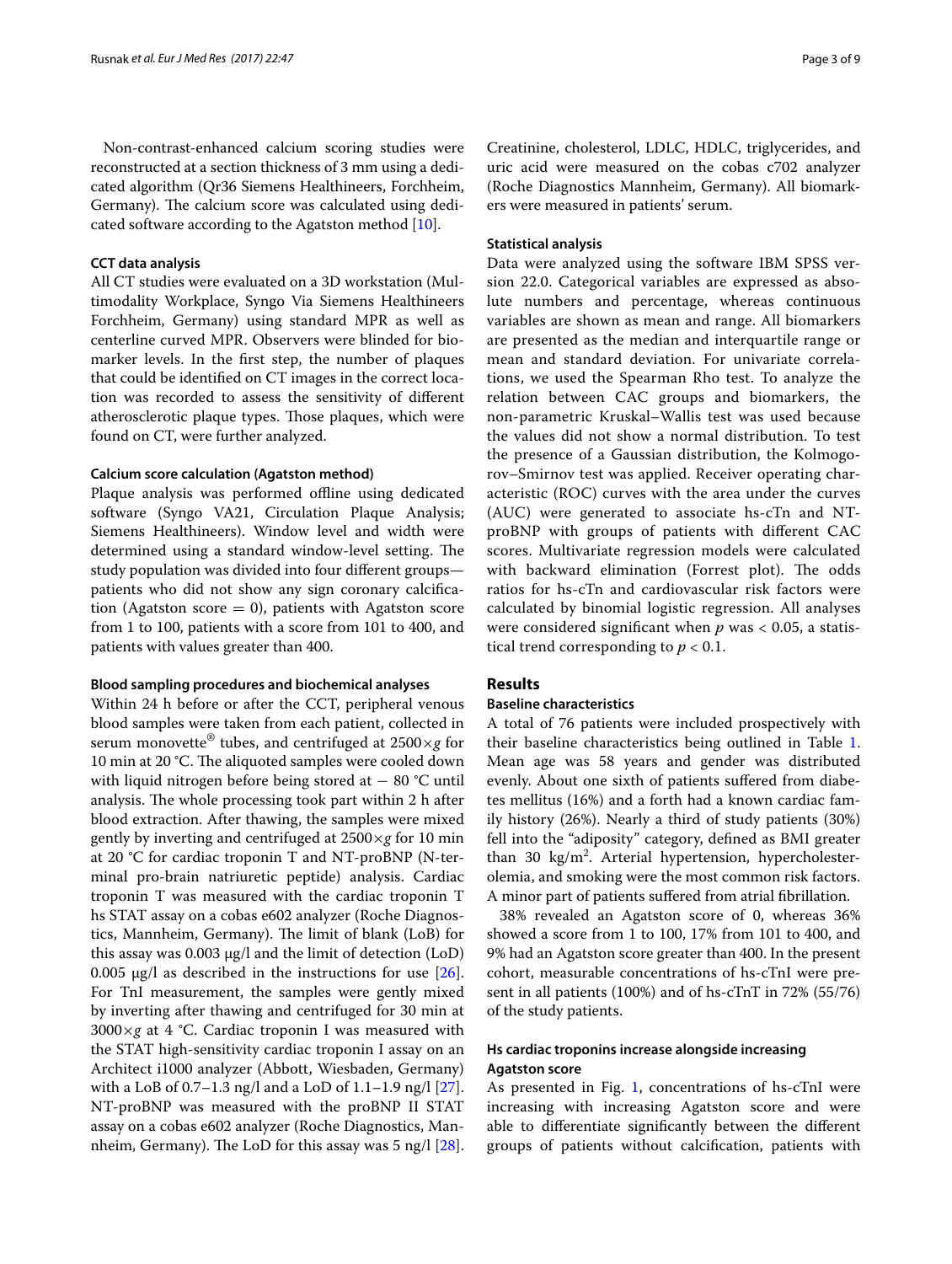Non-contrast-enhanced calcium scoring studies were reconstructed at a section thickness of 3 mm using a dedicated algorithm (Qr36 Siemens Healthineers, Forchheim, Germany). The calcium score was calculated using dedicated software according to the Agatston method [\[10\]](#page-7-7).

### **CCT data analysis**

All CT studies were evaluated on a 3D workstation (Multimodality Workplace, Syngo Via Siemens Healthineers Forchheim, Germany) using standard MPR as well as centerline curved MPR. Observers were blinded for biomarker levels. In the frst step, the number of plaques that could be identifed on CT images in the correct location was recorded to assess the sensitivity of diferent atherosclerotic plaque types. Those plaques, which were found on CT, were further analyzed.

#### **Calcium score calculation (Agatston method)**

Plaque analysis was performed offline using dedicated software (Syngo VA21, Circulation Plaque Analysis; Siemens Healthineers). Window level and width were determined using a standard window-level setting. The study population was divided into four diferent groups patients who did not show any sign coronary calcifcation (Agatston score  $= 0$ ), patients with Agatston score from 1 to 100, patients with a score from 101 to 400, and patients with values greater than 400.

#### **Blood sampling procedures and biochemical analyses**

Within 24 h before or after the CCT, peripheral venous blood samples were taken from each patient, collected in serum monovette® tubes, and centrifuged at 2500×*g* for 10 min at 20 °C. The aliquoted samples were cooled down with liquid nitrogen before being stored at − 80 °C until analysis. The whole processing took part within 2 h after blood extraction. After thawing, the samples were mixed gently by inverting and centrifuged at 2500×*g* for 10 min at 20 °C for cardiac troponin T and NT-proBNP (N-terminal pro-brain natriuretic peptide) analysis. Cardiac troponin T was measured with the cardiac troponin T hs STAT assay on a cobas e602 analyzer (Roche Diagnostics, Mannheim, Germany). The limit of blank (LoB) for this assay was 0.003 µg/l and the limit of detection (LoD) 0.005  $\mu$ g/l as described in the instructions for use [\[26](#page-8-5)]. For TnI measurement, the samples were gently mixed by inverting after thawing and centrifuged for 30 min at  $3000 \times g$  at 4 °C. Cardiac troponin I was measured with the STAT high-sensitivity cardiac troponin I assay on an Architect i1000 analyzer (Abbott, Wiesbaden, Germany) with a LoB of 0.7–1.3 ng/l and a LoD of 1.1–1.9 ng/l [\[27](#page-8-6)]. NT-proBNP was measured with the proBNP II STAT assay on a cobas e602 analyzer (Roche Diagnostics, Mannheim, Germany). The LoD for this assay was  $5 \text{ ng/l } [28]$  $5 \text{ ng/l } [28]$  $5 \text{ ng/l } [28]$ .

Creatinine, cholesterol, LDLC, HDLC, triglycerides, and uric acid were measured on the cobas c702 analyzer (Roche Diagnostics Mannheim, Germany). All biomarkers were measured in patients' serum.

#### **Statistical analysis**

Data were analyzed using the software IBM SPSS version 22.0. Categorical variables are expressed as absolute numbers and percentage, whereas continuous variables are shown as mean and range. All biomarkers are presented as the median and interquartile range or mean and standard deviation. For univariate correlations, we used the Spearman Rho test. To analyze the relation between CAC groups and biomarkers, the non-parametric Kruskal–Wallis test was used because the values did not show a normal distribution. To test the presence of a Gaussian distribution, the Kolmogorov–Smirnov test was applied. Receiver operating characteristic (ROC) curves with the area under the curves (AUC) were generated to associate hs-cTn and NTproBNP with groups of patients with diferent CAC scores. Multivariate regression models were calculated with backward elimination (Forrest plot). The odds ratios for hs-cTn and cardiovascular risk factors were calculated by binomial logistic regression. All analyses were considered signifcant when *p* was < 0.05, a statistical trend corresponding to  $p < 0.1$ .

## **Results**

## **Baseline characteristics**

A total of 76 patients were included prospectively with their baseline characteristics being outlined in Table [1](#page-3-0). Mean age was 58 years and gender was distributed evenly. About one sixth of patients sufered from diabetes mellitus (16%) and a forth had a known cardiac family history (26%). Nearly a third of study patients (30%) fell into the "adiposity" category, defned as BMI greater than 30 kg/m<sup>2</sup>. Arterial hypertension, hypercholesterolemia, and smoking were the most common risk factors. A minor part of patients sufered from atrial fbrillation.

38% revealed an Agatston score of 0, whereas 36% showed a score from 1 to 100, 17% from 101 to 400, and 9% had an Agatston score greater than 400. In the present cohort, measurable concentrations of hs-cTnI were present in all patients (100%) and of hs-cTnT in 72% (55/76) of the study patients.

# **Hs cardiac troponins increase alongside increasing Agatston score**

As presented in Fig. [1,](#page-3-1) concentrations of hs-cTnI were increasing with increasing Agatston score and were able to diferentiate signifcantly between the diferent groups of patients without calcifcation, patients with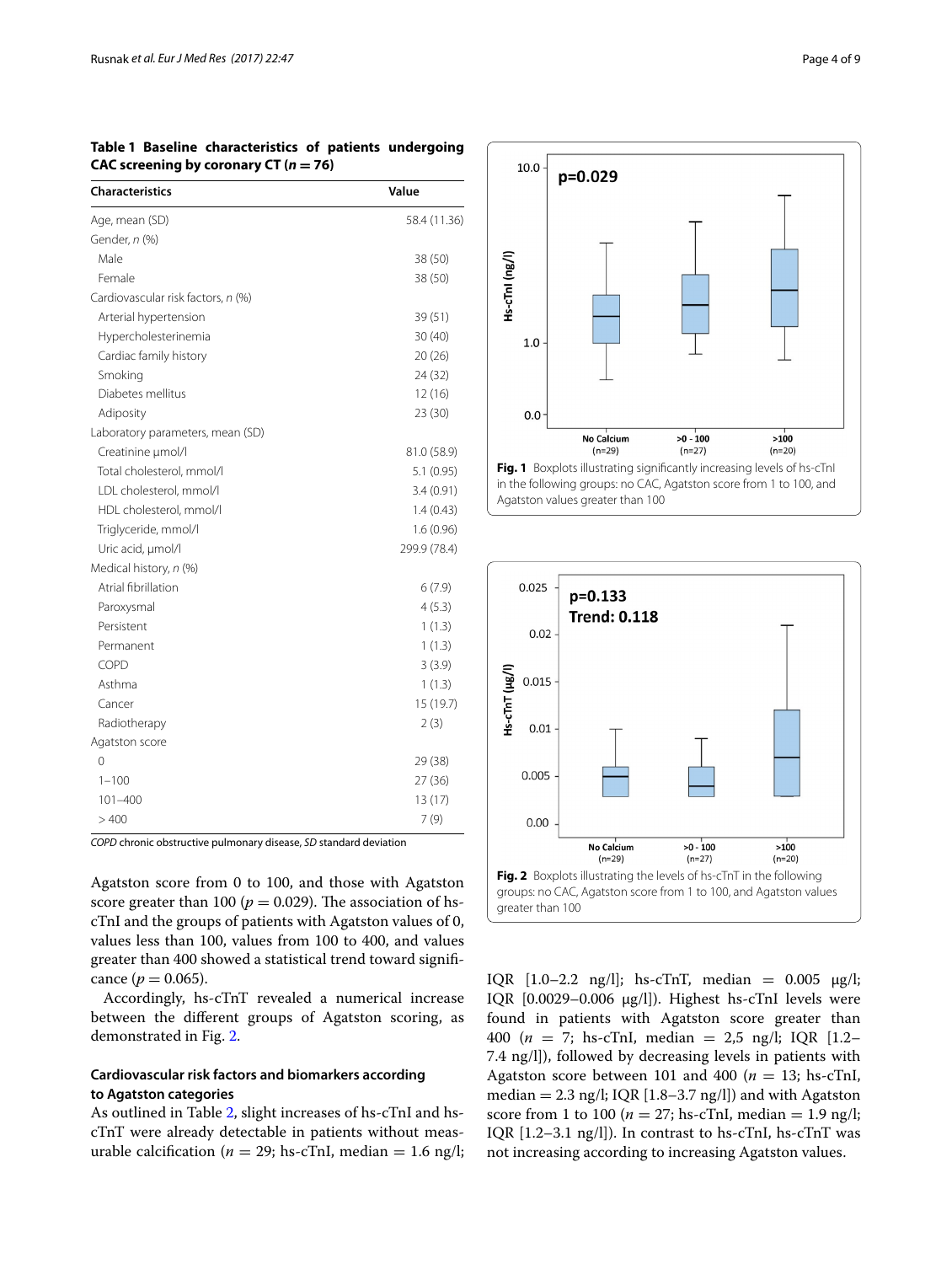<span id="page-3-0"></span>**Table 1 Baseline characteristics of patients undergoing CAC screening by coronary CT (***n* **= 76)**

| <b>Characteristics</b>             | Value        |
|------------------------------------|--------------|
| Age, mean (SD)                     | 58.4 (11.36) |
| Gender, n (%)                      |              |
| Male                               | 38 (50)      |
| Female                             | 38 (50)      |
| Cardiovascular risk factors, n (%) |              |
| Arterial hypertension              | 39 (51)      |
| Hypercholesterinemia               | 30(40)       |
| Cardiac family history             | 20(26)       |
| Smoking                            | 24 (32)      |
| Diabetes mellitus                  | 12(16)       |
| Adiposity                          | 23 (30)      |
| Laboratory parameters, mean (SD)   |              |
| Creatinine µmol/l                  | 81.0 (58.9)  |
| Total cholesterol, mmol/l          | 5.1(0.95)    |
| LDL cholesterol, mmol/l            | 3.4(0.91)    |
| HDL cholesterol, mmol/l            | 1.4(0.43)    |
| Triglyceride, mmol/l               | 1.6(0.96)    |
| Uric acid, µmol/l                  | 299.9 (78.4) |
| Medical history, n (%)             |              |
| Atrial fibrillation                | 6(7.9)       |
| Paroxysmal                         | 4(5.3)       |
| Persistent                         | 1(1.3)       |
| Permanent                          | 1(1.3)       |
| COPD                               | 3(3.9)       |
| Asthma                             | 1(1.3)       |
| Cancer                             | 15 (19.7)    |
| Radiotherapy                       | 2(3)         |
| Agatston score                     |              |
| 0                                  | 29 (38)      |
| $1 - 100$                          | 27(36)       |
| 101-400                            | 13(17)       |
| >400                               | 7(9)         |

*COPD* chronic obstructive pulmonary disease, *SD* standard deviation

Agatston score from 0 to 100, and those with Agatston score greater than 100 ( $p = 0.029$ ). The association of hscTnI and the groups of patients with Agatston values of 0, values less than 100, values from 100 to 400, and values greater than 400 showed a statistical trend toward signifcance ( $p = 0.065$ ).

Accordingly, hs-cTnT revealed a numerical increase between the diferent groups of Agatston scoring, as demonstrated in Fig. [2](#page-3-2).

# **Cardiovascular risk factors and biomarkers according to Agatston categories**

As outlined in Table [2](#page-4-0), slight increases of hs-cTnI and hscTnT were already detectable in patients without measurable calcification ( $n = 29$ ; hs-cTnI, median = 1.6 ng/l;



<span id="page-3-1"></span>

<span id="page-3-2"></span>IQR  $[1.0-2.2 \text{ ng/l}]$ ; hs-cTnT, median = 0.005  $\mu$ g/l; IQR  $[0.0029-0.006 \mu g/l]$ ). Highest hs-cTnI levels were found in patients with Agatston score greater than 400 (*n* = 7; hs-cTnI, median = 2,5 ng/l; IQR [1.2– 7.4 ng/l]), followed by decreasing levels in patients with Agatston score between 101 and 400 ( $n = 13$ ; hs-cTnI, median  $= 2.3$  ng/l; IQR [1.8–3.7 ng/l]) and with Agatston score from 1 to 100 ( $n = 27$ ; hs-cTnI, median = 1.9 ng/l; IQR [1.2–3.1 ng/l]). In contrast to hs-cTnI, hs-cTnT was not increasing according to increasing Agatston values.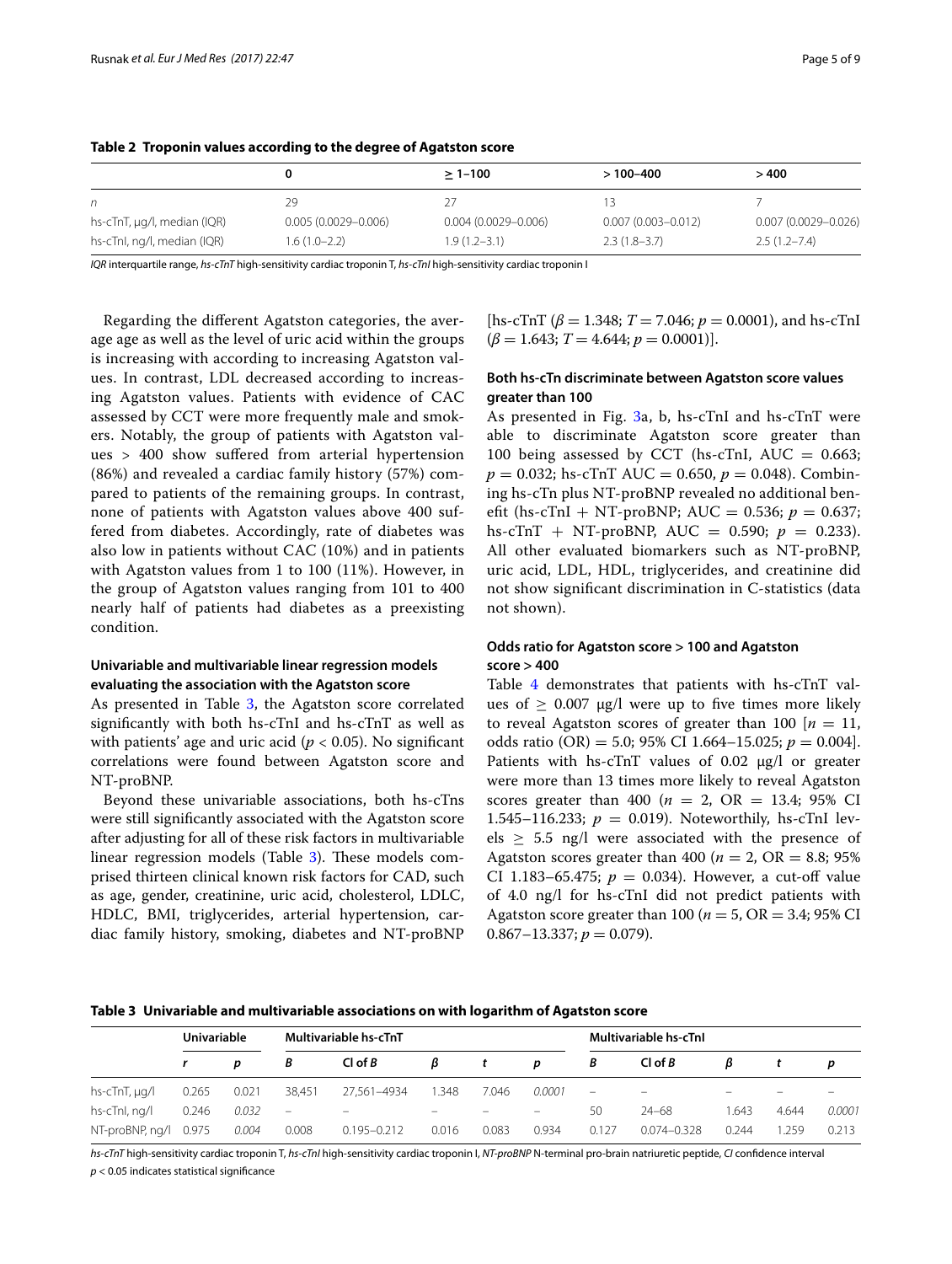|                             |                         | $\geq$ 1-100            | $>100 - 400$           | >400                    |
|-----------------------------|-------------------------|-------------------------|------------------------|-------------------------|
| n                           | 29                      |                         |                        |                         |
| hs-cTnT, µg/l, median (IQR) | $0.005(0.0029 - 0.006)$ | $0.004(0.0029 - 0.006)$ | $0.007(0.003 - 0.012)$ | $0.007(0.0029 - 0.026)$ |
| hs-cTnl, ng/l, median (IQR) | $1.6(1.0-2.2)$          | $1.9(1.2 - 3.1)$        | $2.3(1.8-3.7)$         | $2.5(1.2 - 7.4)$        |

<span id="page-4-0"></span>**Table 2 Troponin values according to the degree of Agatston score**

*IQR* interquartile range, *hs-cTnT* high-sensitivity cardiac troponin T, *hs-cTnI* high-sensitivity cardiac troponin I

Regarding the diferent Agatston categories, the average age as well as the level of uric acid within the groups is increasing with according to increasing Agatston values. In contrast, LDL decreased according to increasing Agatston values. Patients with evidence of CAC assessed by CCT were more frequently male and smokers. Notably, the group of patients with Agatston values > 400 show sufered from arterial hypertension (86%) and revealed a cardiac family history (57%) compared to patients of the remaining groups. In contrast, none of patients with Agatston values above 400 suffered from diabetes. Accordingly, rate of diabetes was also low in patients without CAC (10%) and in patients with Agatston values from 1 to 100 (11%). However, in the group of Agatston values ranging from 101 to 400 nearly half of patients had diabetes as a preexisting condition.

# **Univariable and multivariable linear regression models evaluating the association with the Agatston score**

As presented in Table [3](#page-4-1), the Agatston score correlated signifcantly with both hs-cTnI and hs-cTnT as well as with patients' age and uric acid ( $p < 0.05$ ). No significant correlations were found between Agatston score and NT-proBNP.

Beyond these univariable associations, both hs-cTns were still signifcantly associated with the Agatston score after adjusting for all of these risk factors in multivariable linear regression models (Table  $3$ ). These models comprised thirteen clinical known risk factors for CAD, such as age, gender, creatinine, uric acid, cholesterol, LDLC, HDLC, BMI, triglycerides, arterial hypertension, cardiac family history, smoking, diabetes and NT-proBNP

[hs-cTnT ( $\beta$  = 1.348; *T* = 7.046;  $p$  = 0.0001), and hs-cTnI  $(\beta = 1.643; T = 4.644; p = 0.0001)$ .

# **Both hs‑cTn discriminate between Agatston score values greater than 100**

As presented in Fig. [3](#page-5-0)a, b, hs-cTnI and hs-cTnT were able to discriminate Agatston score greater than 100 being assessed by CCT (hs-cTnI,  $AUC = 0.663$ ;  $p = 0.032$ ; hs-cTnT AUC = 0.650,  $p = 0.048$ ). Combining hs-cTn plus NT-proBNP revealed no additional benefit (hs-cTnI + NT-proBNP;  $AUC = 0.536$ ;  $p = 0.637$ ; hs-cTnT + NT-proBNP, AUC =  $0.590$ ;  $p = 0.233$ ). All other evaluated biomarkers such as NT-proBNP, uric acid, LDL, HDL, triglycerides, and creatinine did not show signifcant discrimination in C-statistics (data not shown).

# **Odds ratio for Agatston score > 100 and Agatston score > 400**

Table [4](#page-6-0) demonstrates that patients with hs-cTnT values of  $\geq$  0.007 µg/l were up to five times more likely to reveal Agatston scores of greater than 100  $[n = 11,$ odds ratio (OR) = 5.0; 95% CI 1.664-15.025;  $p = 0.004$ . Patients with hs-cTnT values of 0.02 µg/l or greater were more than 13 times more likely to reveal Agatston scores greater than 400 ( $n = 2$ , OR = 13.4; 95% CI 1.545–116.233;  $p = 0.019$ ). Noteworthily, hs-cTnI levels  $\geq$  5.5 ng/l were associated with the presence of Agatston scores greater than 400 ( $n = 2$ , OR = 8.8; 95%) CI 1.183–65.475;  $p = 0.034$ ). However, a cut-off value of 4.0 ng/l for hs-cTnI did not predict patients with Agatston score greater than  $100 (n = 5, \text{OR} = 3.4; 95\% \text{ CI}$  $0.867 - 13.337; p = 0.079$ .

<span id="page-4-1"></span>**Table 3 Univariable and multivariable associations on with logarithm of Agatston score**

|                 | <b>Univariable</b> |       | <b>Multivariable hs-cTnT</b> |                          |                          |       | <b>Multivariable hs-cTnl</b> |                   |                   |       |                          |        |
|-----------------|--------------------|-------|------------------------------|--------------------------|--------------------------|-------|------------------------------|-------------------|-------------------|-------|--------------------------|--------|
|                 |                    | D     | В                            | $CI$ of $B$              | B                        | t     | p                            | B                 | $CI$ of $B$       |       |                          | D      |
| hs-cTnT, µg/l   | 0.265              | 0.021 | 38.451                       | 27.561-4934              | 1.348                    | 7.046 | 0.0001                       | $\qquad \qquad -$ | $\qquad \qquad =$ |       | $\overline{\phantom{0}}$ |        |
| hs-cTnl, ng/l   | 0.246              | 0.032 | $\overline{\phantom{a}}$     | $\overline{\phantom{0}}$ | $\overline{\phantom{0}}$ |       |                              | 50                | $24 - 68$         | 1.643 | 4.644                    | 0.0001 |
| NT-proBNP, ng/l | 0.975              | 0.004 | 0.008                        | 0.195-0.212              | 0.016                    | 0.083 | 0.934                        | 0.127             | $0.074 - 0.328$   | 0.244 | 1.259                    | 0.213  |

*hs-cTnT* high-sensitivity cardiac troponin T, *hs-cTnI* high-sensitivity cardiac troponin I, *NT-proBNP* N-terminal pro-brain natriuretic peptide, *CI* confdence interval *p* < 0.05 indicates statistical signifcance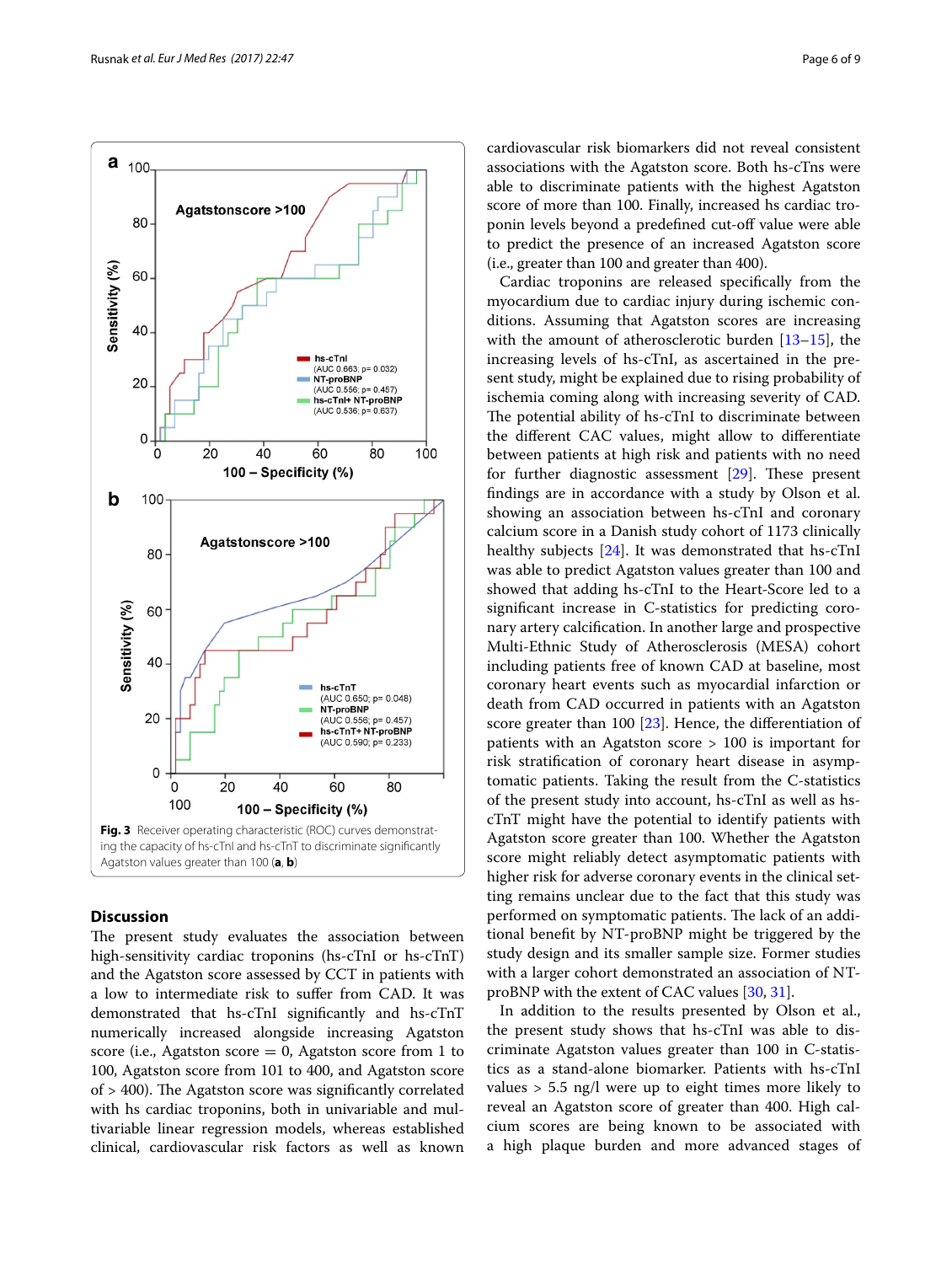

# <span id="page-5-0"></span>**Discussion**

The present study evaluates the association between high-sensitivity cardiac troponins (hs-cTnI or hs-cTnT) and the Agatston score assessed by CCT in patients with a low to intermediate risk to sufer from CAD. It was demonstrated that hs-cTnI signifcantly and hs-cTnT numerically increased alongside increasing Agatston score (i.e., Agatston score  $= 0$ , Agatston score from 1 to 100, Agatston score from 101 to 400, and Agatston score of  $>$  400). The Agatston score was significantly correlated with hs cardiac troponins, both in univariable and multivariable linear regression models, whereas established clinical, cardiovascular risk factors as well as known cardiovascular risk biomarkers did not reveal consistent associations with the Agatston score. Both hs-cTns were able to discriminate patients with the highest Agatston score of more than 100. Finally, increased hs cardiac troponin levels beyond a predefined cut-off value were able to predict the presence of an increased Agatston score (i.e., greater than 100 and greater than 400).

Cardiac troponins are released specifcally from the myocardium due to cardiac injury during ischemic conditions. Assuming that Agatston scores are increasing with the amount of atherosclerotic burden [[13–](#page-7-10)[15](#page-7-15)], the increasing levels of hs-cTnI, as ascertained in the present study, might be explained due to rising probability of ischemia coming along with increasing severity of CAD. The potential ability of hs-cTnI to discriminate between the diferent CAC values, might allow to diferentiate between patients at high risk and patients with no need for further diagnostic assessment  $[29]$  $[29]$ . These present fndings are in accordance with a study by Olson et al. showing an association between hs-cTnI and coronary calcium score in a Danish study cohort of 1173 clinically healthy subjects [\[24](#page-8-3)]. It was demonstrated that hs-cTnI was able to predict Agatston values greater than 100 and showed that adding hs-cTnI to the Heart-Score led to a signifcant increase in C-statistics for predicting coronary artery calcifcation. In another large and prospective Multi-Ethnic Study of Atherosclerosis (MESA) cohort including patients free of known CAD at baseline, most coronary heart events such as myocardial infarction or death from CAD occurred in patients with an Agatston score greater than 100 [\[23](#page-8-2)]. Hence, the diferentiation of patients with an Agatston score > 100 is important for risk stratifcation of coronary heart disease in asymptomatic patients. Taking the result from the C-statistics of the present study into account, hs-cTnI as well as hscTnT might have the potential to identify patients with Agatston score greater than 100. Whether the Agatston score might reliably detect asymptomatic patients with higher risk for adverse coronary events in the clinical setting remains unclear due to the fact that this study was performed on symptomatic patients. The lack of an additional beneft by NT-proBNP might be triggered by the study design and its smaller sample size. Former studies with a larger cohort demonstrated an association of NTproBNP with the extent of CAC values [[30,](#page-8-9) [31\]](#page-8-10).

In addition to the results presented by Olson et al., the present study shows that hs-cTnI was able to discriminate Agatston values greater than 100 in C-statistics as a stand-alone biomarker. Patients with hs-cTnI values > 5.5 ng/l were up to eight times more likely to reveal an Agatston score of greater than 400. High calcium scores are being known to be associated with a high plaque burden and more advanced stages of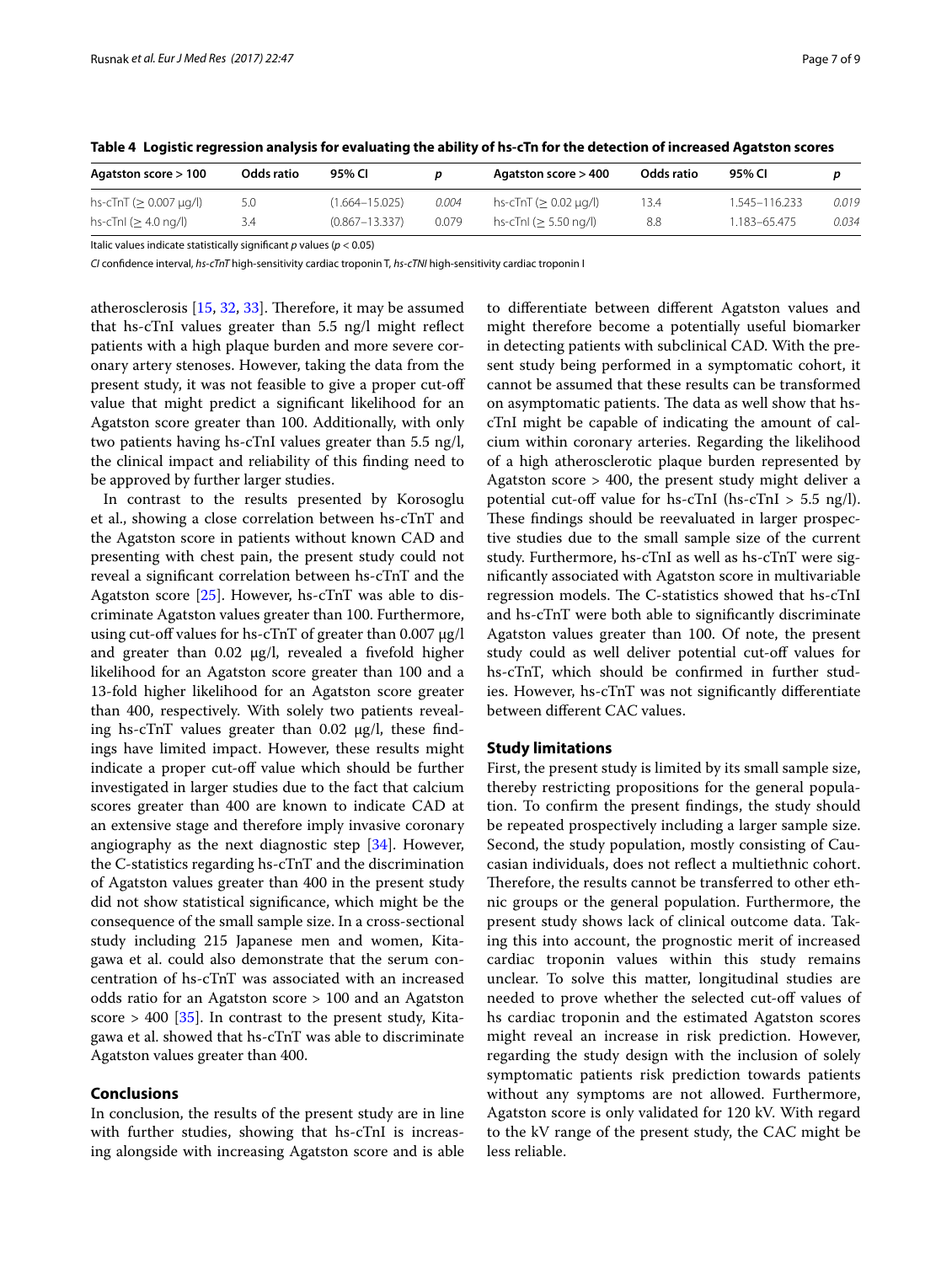| Agatston score > 100              | Odds ratio | 95% CI             |       | Agatston score > 400           | Odds ratio | 95% CI        |       |
|-----------------------------------|------------|--------------------|-------|--------------------------------|------------|---------------|-------|
| hs-cTnT ( $\geq 0.007 \,\mu$ g/l) | 5.0        | $(1.664 - 15.025)$ | 0.004 | hs-cTnT ( $\geq 0.02 \mu$ g/l) | 13.4       | 1.545-116.233 | 0.019 |
| hs-cTnl ( $\geq 4.0$ ng/l)        | 3.4        | $(0.867 - 13.337)$ | 0.079 | hs-cTnl $(> 5.50$ ng/l)        | 8.8        | 1.183-65.475  | 0.034 |

<span id="page-6-0"></span>**Table 4 Logistic regression analysis for evaluating the ability of hs-cTn for the detection of increased Agatston scores**

Italic values indicate statistically signifcant *p* values (*p* < 0.05)

*CI* confdence interval, *hs-cTnT* high-sensitivity cardiac troponin T, *hs-cTNI* high-sensitivity cardiac troponin I

atherosclerosis  $[15, 32, 33]$  $[15, 32, 33]$  $[15, 32, 33]$  $[15, 32, 33]$  $[15, 32, 33]$ . Therefore, it may be assumed that hs-cTnI values greater than 5.5 ng/l might refect patients with a high plaque burden and more severe coronary artery stenoses. However, taking the data from the present study, it was not feasible to give a proper cut-of value that might predict a signifcant likelihood for an Agatston score greater than 100. Additionally, with only two patients having hs-cTnI values greater than 5.5 ng/l, the clinical impact and reliability of this fnding need to be approved by further larger studies.

In contrast to the results presented by Korosoglu et al., showing a close correlation between hs-cTnT and the Agatston score in patients without known CAD and presenting with chest pain, the present study could not reveal a signifcant correlation between hs-cTnT and the Agatston score [[25](#page-8-4)]. However, hs-cTnT was able to discriminate Agatston values greater than 100. Furthermore, using cut-off values for hs-cTnT of greater than 0.007 µg/l and greater than  $0.02 \mu g/l$ , revealed a fivefold higher likelihood for an Agatston score greater than 100 and a 13-fold higher likelihood for an Agatston score greater than 400, respectively. With solely two patients revealing hs-cTnT values greater than  $0.02 \mu g/l$ , these findings have limited impact. However, these results might indicate a proper cut-off value which should be further investigated in larger studies due to the fact that calcium scores greater than 400 are known to indicate CAD at an extensive stage and therefore imply invasive coronary angiography as the next diagnostic step [[34\]](#page-8-13). However, the C-statistics regarding hs-cTnT and the discrimination of Agatston values greater than 400 in the present study did not show statistical signifcance, which might be the consequence of the small sample size. In a cross-sectional study including 215 Japanese men and women, Kitagawa et al. could also demonstrate that the serum concentration of hs-cTnT was associated with an increased odds ratio for an Agatston score > 100 and an Agatston score  $>$  400 [\[35\]](#page-8-14). In contrast to the present study, Kitagawa et al. showed that hs-cTnT was able to discriminate Agatston values greater than 400.

# **Conclusions**

In conclusion, the results of the present study are in line with further studies, showing that hs-cTnI is increasing alongside with increasing Agatston score and is able

to diferentiate between diferent Agatston values and might therefore become a potentially useful biomarker in detecting patients with subclinical CAD. With the present study being performed in a symptomatic cohort, it cannot be assumed that these results can be transformed on asymptomatic patients. The data as well show that hscTnI might be capable of indicating the amount of calcium within coronary arteries. Regarding the likelihood of a high atherosclerotic plaque burden represented by Agatston score  $> 400$ , the present study might deliver a potential cut-off value for hs-cTnI (hs-cTnI  $> 5.5$  ng/l). These findings should be reevaluated in larger prospective studies due to the small sample size of the current study. Furthermore, hs-cTnI as well as hs-cTnT were signifcantly associated with Agatston score in multivariable regression models. The C-statistics showed that hs-cTnI and hs-cTnT were both able to signifcantly discriminate Agatston values greater than 100. Of note, the present study could as well deliver potential cut-off values for hs-cTnT, which should be confrmed in further studies. However, hs-cTnT was not signifcantly diferentiate between diferent CAC values.

## **Study limitations**

First, the present study is limited by its small sample size, thereby restricting propositions for the general population. To confrm the present fndings, the study should be repeated prospectively including a larger sample size. Second, the study population, mostly consisting of Caucasian individuals, does not refect a multiethnic cohort. Therefore, the results cannot be transferred to other ethnic groups or the general population. Furthermore, the present study shows lack of clinical outcome data. Taking this into account, the prognostic merit of increased cardiac troponin values within this study remains unclear. To solve this matter, longitudinal studies are needed to prove whether the selected cut-of values of hs cardiac troponin and the estimated Agatston scores might reveal an increase in risk prediction. However, regarding the study design with the inclusion of solely symptomatic patients risk prediction towards patients without any symptoms are not allowed. Furthermore, Agatston score is only validated for 120 kV. With regard to the kV range of the present study, the CAC might be less reliable.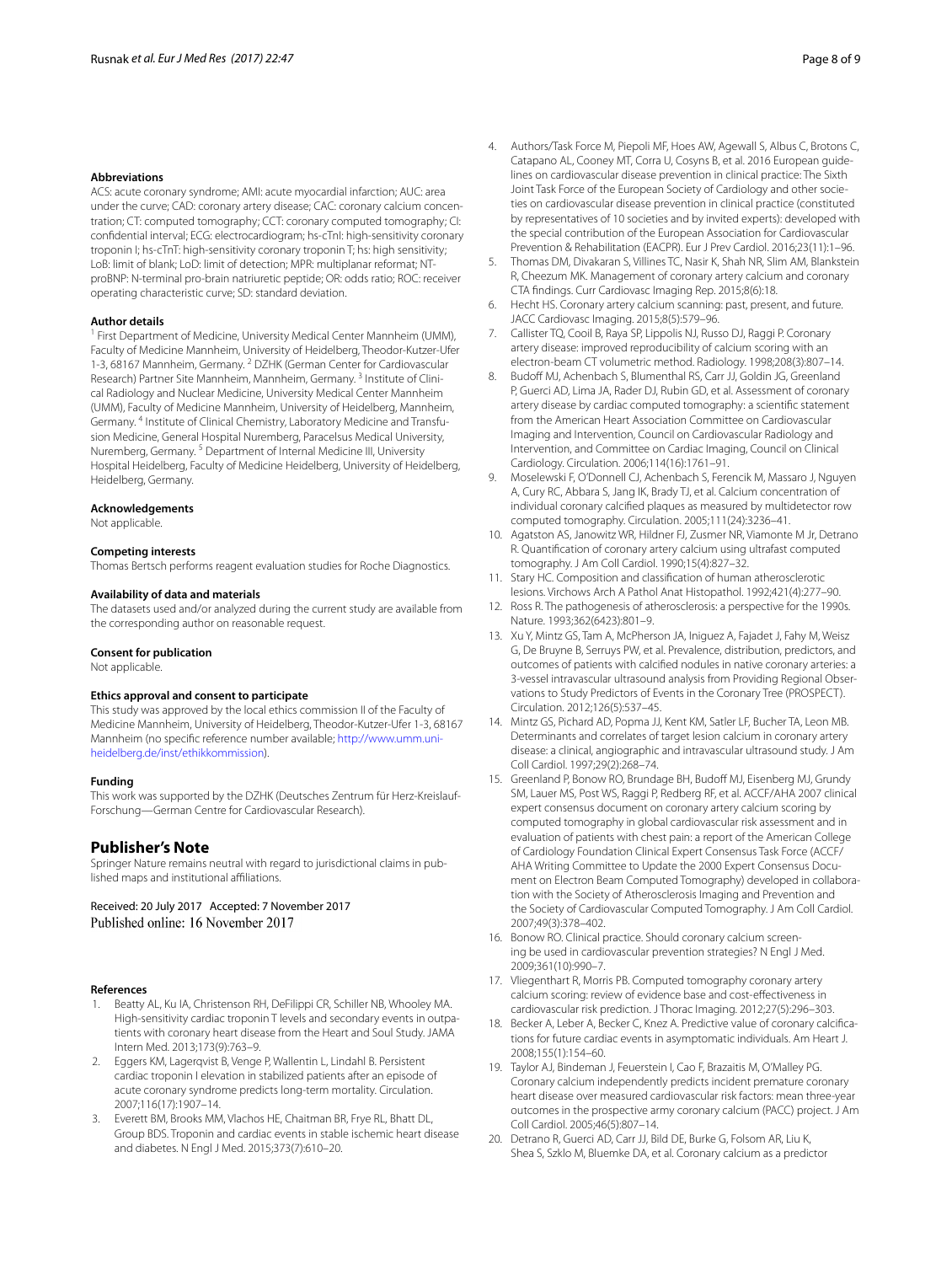#### **Abbreviations**

ACS: acute coronary syndrome; AMI: acute myocardial infarction; AUC: area under the curve; CAD: coronary artery disease; CAC: coronary calcium concentration; CT: computed tomography; CCT: coronary computed tomography; CI: confdential interval; ECG: electrocardiogram; hs-cTnI: high-sensitivity coronary troponin I; hs-cTnT: high-sensitivity coronary troponin T; hs: high sensitivity; LoB: limit of blank; LoD: limit of detection; MPR: multiplanar reformat; NTproBNP: N-terminal pro-brain natriuretic peptide; OR: odds ratio; ROC: receiver operating characteristic curve; SD: standard deviation.

#### **Author details**

<sup>1</sup> First Department of Medicine, University Medical Center Mannheim (UMM), Faculty of Medicine Mannheim, University of Heidelberg, Theodor-Kutzer-Ufer 1-3, 68167 Mannheim, Germany. 2 DZHK (German Center for Cardiovascular Research) Partner Site Mannheim, Mannheim, Germany. 3 Institute of Clinical Radiology and Nuclear Medicine, University Medical Center Mannheim (UMM), Faculty of Medicine Mannheim, University of Heidelberg, Mannheim, Germany. 4 Institute of Clinical Chemistry, Laboratory Medicine and Transfusion Medicine, General Hospital Nuremberg, Paracelsus Medical University, Nuremberg, Germany. 5 Department of Internal Medicine III, University Hospital Heidelberg, Faculty of Medicine Heidelberg, University of Heidelberg, Heidelberg, Germany.

#### **Acknowledgements**

Not applicable.

#### **Competing interests**

Thomas Bertsch performs reagent evaluation studies for Roche Diagnostics.

#### **Availability of data and materials**

The datasets used and/or analyzed during the current study are available from the corresponding author on reasonable request.

#### **Consent for publication**

Not applicable.

### **Ethics approval and consent to participate**

This study was approved by the local ethics commission II of the Faculty of Medicine Mannheim, University of Heidelberg, Theodor-Kutzer-Ufer 1-3, 68167 Mannheim (no specifc reference number available; [http://www.umm.uni](http://www.umm.uni-heidelberg.de/inst/ethikkommission)[heidelberg.de/inst/ethikkommission](http://www.umm.uni-heidelberg.de/inst/ethikkommission)).

#### **Funding**

This work was supported by the DZHK (Deutsches Zentrum für Herz-Kreislauf-Forschung—German Centre for Cardiovascular Research).

## **Publisher's Note**

Springer Nature remains neutral with regard to jurisdictional claims in published maps and institutional afliations.

Received: 20 July 2017 Accepted: 7 November 2017 Published online: 16 November 2017

#### **References**

- <span id="page-7-0"></span>1. Beatty AL, Ku IA, Christenson RH, DeFilippi CR, Schiller NB, Whooley MA. High-sensitivity cardiac troponin T levels and secondary events in outpatients with coronary heart disease from the Heart and Soul Study. JAMA Intern Med. 2013;173(9):763–9.
- 2. Eggers KM, Lagerqvist B, Venge P, Wallentin L, Lindahl B. Persistent cardiac troponin I elevation in stabilized patients after an episode of acute coronary syndrome predicts long-term mortality. Circulation. 2007;116(17):1907–14.
- <span id="page-7-1"></span>3. Everett BM, Brooks MM, Vlachos HE, Chaitman BR, Frye RL, Bhatt DL, Group BDS. Troponin and cardiac events in stable ischemic heart disease and diabetes. N Engl J Med. 2015;373(7):610–20.
- <span id="page-7-2"></span>4. Authors/Task Force M, Piepoli MF, Hoes AW, Agewall S, Albus C, Brotons C, Catapano AL, Cooney MT, Corra U, Cosyns B, et al. 2016 European guidelines on cardiovascular disease prevention in clinical practice: The Sixth Joint Task Force of the European Society of Cardiology and other societies on cardiovascular disease prevention in clinical practice (constituted by representatives of 10 societies and by invited experts): developed with the special contribution of the European Association for Cardiovascular Prevention & Rehabilitation (EACPR). Eur J Prev Cardiol. 2016;23(11):1–96.
- <span id="page-7-3"></span>5. Thomas DM, Divakaran S, Villines TC, Nasir K, Shah NR, Slim AM, Blankstein R, Cheezum MK. Management of coronary artery calcium and coronary CTA fndings. Curr Cardiovasc Imaging Rep. 2015;8(6):18.
- <span id="page-7-4"></span>6. Hecht HS. Coronary artery calcium scanning: past, present, and future. JACC Cardiovasc Imaging. 2015;8(5):579–96.
- <span id="page-7-5"></span>7. Callister TQ, Cooil B, Raya SP, Lippolis NJ, Russo DJ, Raggi P. Coronary artery disease: improved reproducibility of calcium scoring with an electron-beam CT volumetric method. Radiology. 1998;208(3):807–14.
- <span id="page-7-6"></span>8. Budoff MJ, Achenbach S, Blumenthal RS, Carr JJ, Goldin JG, Greenland P, Guerci AD, Lima JA, Rader DJ, Rubin GD, et al. Assessment of coronary artery disease by cardiac computed tomography: a scientifc statement from the American Heart Association Committee on Cardiovascular Imaging and Intervention, Council on Cardiovascular Radiology and Intervention, and Committee on Cardiac Imaging, Council on Clinical Cardiology. Circulation. 2006;114(16):1761–91.
- 9. Moselewski F, O'Donnell CJ, Achenbach S, Ferencik M, Massaro J, Nguyen A, Cury RC, Abbara S, Jang IK, Brady TJ, et al. Calcium concentration of individual coronary calcifed plaques as measured by multidetector row computed tomography. Circulation. 2005;111(24):3236–41.
- <span id="page-7-7"></span>10. Agatston AS, Janowitz WR, Hildner FJ, Zusmer NR, Viamonte M Jr, Detrano R. Quantifcation of coronary artery calcium using ultrafast computed tomography. J Am Coll Cardiol. 1990;15(4):827–32.
- <span id="page-7-8"></span>11. Stary HC. Composition and classifcation of human atherosclerotic lesions. Virchows Arch A Pathol Anat Histopathol. 1992;421(4):277–90.
- <span id="page-7-9"></span>12. Ross R. The pathogenesis of atherosclerosis: a perspective for the 1990s. Nature. 1993;362(6423):801–9.
- <span id="page-7-10"></span>13. Xu Y, Mintz GS, Tam A, McPherson JA, Iniguez A, Fajadet J, Fahy M, Weisz G, De Bruyne B, Serruys PW, et al. Prevalence, distribution, predictors, and outcomes of patients with calcifed nodules in native coronary arteries: a 3-vessel intravascular ultrasound analysis from Providing Regional Observations to Study Predictors of Events in the Coronary Tree (PROSPECT). Circulation. 2012;126(5):537–45.
- 14. Mintz GS, Pichard AD, Popma JJ, Kent KM, Satler LF, Bucher TA, Leon MB. Determinants and correlates of target lesion calcium in coronary artery disease: a clinical, angiographic and intravascular ultrasound study. J Am Coll Cardiol. 1997;29(2):268–74.
- <span id="page-7-15"></span>15. Greenland P, Bonow RO, Brundage BH, Budoff MJ, Eisenberg MJ, Grundy SM, Lauer MS, Post WS, Raggi P, Redberg RF, et al. ACCF/AHA 2007 clinical expert consensus document on coronary artery calcium scoring by computed tomography in global cardiovascular risk assessment and in evaluation of patients with chest pain: a report of the American College of Cardiology Foundation Clinical Expert Consensus Task Force (ACCF/ AHA Writing Committee to Update the 2000 Expert Consensus Document on Electron Beam Computed Tomography) developed in collaboration with the Society of Atherosclerosis Imaging and Prevention and the Society of Cardiovascular Computed Tomography. J Am Coll Cardiol. 2007;49(3):378–402.
- 16. Bonow RO. Clinical practice. Should coronary calcium screening be used in cardiovascular prevention strategies? N Engl J Med. 2009;361(10):990–7.
- <span id="page-7-11"></span>17. Vliegenthart R, Morris PB. Computed tomography coronary artery calcium scoring: review of evidence base and cost-efectiveness in cardiovascular risk prediction. J Thorac Imaging. 2012;27(5):296–303.
- <span id="page-7-12"></span>18. Becker A, Leber A, Becker C, Knez A. Predictive value of coronary calcifcations for future cardiac events in asymptomatic individuals. Am Heart J. 2008;155(1):154–60.
- <span id="page-7-13"></span>19. Taylor AJ, Bindeman J, Feuerstein I, Cao F, Brazaitis M, O'Malley PG. Coronary calcium independently predicts incident premature coronary heart disease over measured cardiovascular risk factors: mean three-year outcomes in the prospective army coronary calcium (PACC) project. J Am Coll Cardiol. 2005;46(5):807–14.
- <span id="page-7-14"></span>20. Detrano R, Guerci AD, Carr JJ, Bild DE, Burke G, Folsom AR, Liu K, Shea S, Szklo M, Bluemke DA, et al. Coronary calcium as a predictor